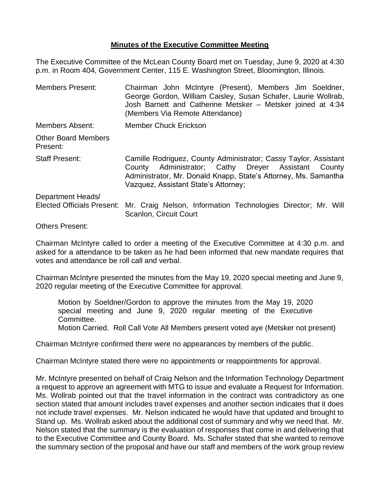## **Minutes of the Executive Committee Meeting**

The Executive Committee of the McLean County Board met on Tuesday, June 9, 2020 at 4:30 p.m. in Room 404, Government Center, 115 E. Washington Street, Bloomington, Illinois.

| <b>Members Present:</b>                                | Chairman John McIntyre (Present), Members Jim Soeldner,<br>George Gordon, William Caisley, Susan Schafer, Laurie Wollrab,<br>Josh Barnett and Catherine Metsker - Metsker joined at 4:34<br>(Members Via Remote Attendance)        |
|--------------------------------------------------------|------------------------------------------------------------------------------------------------------------------------------------------------------------------------------------------------------------------------------------|
| Members Absent:                                        | <b>Member Chuck Erickson</b>                                                                                                                                                                                                       |
| <b>Other Board Members</b><br>Present:                 |                                                                                                                                                                                                                                    |
| <b>Staff Present:</b>                                  | Camille Rodriguez, County Administrator; Cassy Taylor, Assistant<br>County Administrator; Cathy Dreyer Assistant County<br>Administrator, Mr. Donald Knapp, State's Attorney, Ms. Samantha<br>Vazquez, Assistant State's Attorney; |
| Department Heads/<br><b>Elected Officials Present:</b> | Mr. Craig Nelson, Information Technologies Director; Mr. Will<br>Scanlon, Circuit Court                                                                                                                                            |
|                                                        |                                                                                                                                                                                                                                    |

Others Present:

Chairman McIntyre called to order a meeting of the Executive Committee at 4:30 p.m. and asked for a attendance to be taken as he had been informed that new mandate requires that votes and attendance be roll call and verbal.

Chairman McIntyre presented the minutes from the May 19, 2020 special meeting and June 9, 2020 regular meeting of the Executive Committee for approval.

Motion by Soeldner/Gordon to approve the minutes from the May 19, 2020 special meeting and June 9, 2020 regular meeting of the Executive Committee.

Motion Carried. Roll Call Vote All Members present voted aye (Metsker not present)

Chairman McIntyre confirmed there were no appearances by members of the public.

Chairman McIntyre stated there were no appointments or reappointments for approval.

Mr. McIntyre presented on behalf of Craig Nelson and the Information Technology Department a request to approve an agreement with MTG to issue and evaluate a Request for Information. Ms. Wollrab pointed out that the travel information in the contract was contradictory as one section stated that amount includes travel expenses and another section indicates that it does not include travel expenses. Mr. Nelson indicated he would have that updated and brought to Stand up. Ms. Wollrab asked about the additional cost of summary and why we need that. Mr. Nelson stated that the summary is the evaluation of responses that come in and delivering that to the Executive Committee and County Board. Ms. Schafer stated that she wanted to remove the summary section of the proposal and have our staff and members of the work group review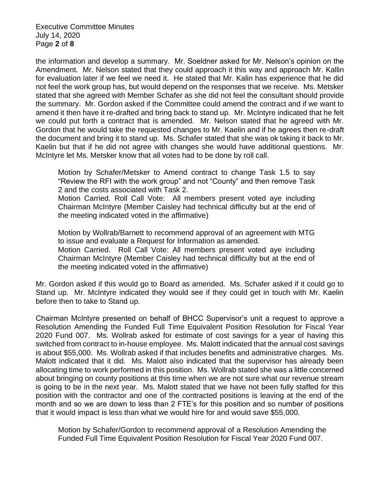Executive Committee Minutes July 14, 2020 Page **2** of **8**

the information and develop a summary. Mr. Soeldner asked for Mr. Nelson's opinion on the Amendment. Mr. Nelson stated that they could approach it this way and approach Mr. Kallin for evaluation later if we feel we need it. He stated that Mr. Kalin has experience that he did not feel the work group has, but would depend on the responses that we receive. Ms. Metsker stated that she agreed with Member Schafer as she did not feel the consultant should provide the summary. Mr. Gordon asked if the Committee could amend the contract and if we want to amend it then have it re-drafted and bring back to stand up. Mr. McIntyre indicated that he felt we could put forth a contract that is amended. Mr. Nelson stated that he agreed with Mr. Gordon that he would take the requested changes to Mr. Kaelin and if he agrees then re-draft the document and bring it to stand up. Ms. Schafer stated that she was ok taking it back to Mr. Kaelin but that if he did not agree with changes she would have additional questions. Mr. McIntyre let Ms. Metsker know that all votes had to be done by roll call.

Motion by Schafer/Metsker to Amend contract to change Task 1.5 to say "Review the RFI with the work group" and not "County" and then remove Task 2 and the costs associated with Task 2.

Motion Carried. Roll Call Vote: All members present voted aye including Chairman McIntyre (Member Caisley had technical difficulty but at the end of the meeting indicated voted in the affirmative)

Motion by Wollrab/Barnett to recommend approval of an agreement with MTG to issue and evaluate a Request for Information as amended. Motion Carried. Roll Call Vote: All members present voted aye including Chairman McIntyre (Member Caisley had technical difficulty but at the end of the meeting indicated voted in the affirmative)

Mr. Gordon asked if this would go to Board as amended. Ms. Schafer asked if it could go to Stand up. Mr. McIntyre indicated they would see if they could get in touch with Mr. Kaelin before then to take to Stand up.

Chairman McIntyre presented on behalf of BHCC Supervisor's unit a request to approve a Resolution Amending the Funded Full Time Equivalent Position Resolution for Fiscal Year 2020 Fund 007. Ms. Wollrab asked for estimate of cost savings for a year of having this switched from contract to in-house employee. Ms. Malott indicated that the annual cost savings is about \$55,000. Ms. Wollrab asked if that includes benefits and administrative charges. Ms. Malott indicated that it did. Ms. Malott also indicated that the supervisor has already been allocating time to work performed in this position. Ms. Wollrab stated she was a little concerned about bringing on county positions at this time when we are not sure what our revenue stream is going to be in the next year. Ms. Malott stated that we have not been fully staffed for this position with the contractor and one of the contracted positions is leaving at the end of the month and so we are down to less than 2 FTE's for this position and so number of positions that it would impact is less than what we would hire for and would save \$55,000.

Motion by Schafer/Gordon to recommend approval of a Resolution Amending the Funded Full Time Equivalent Position Resolution for Fiscal Year 2020 Fund 007.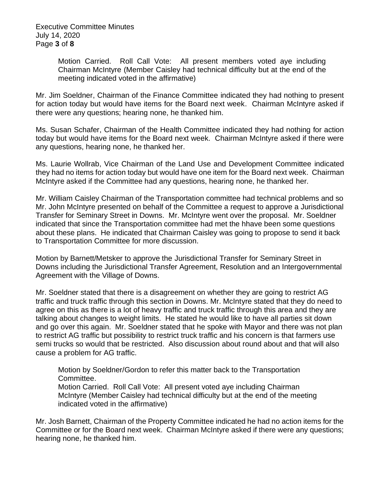Executive Committee Minutes July 14, 2020 Page **3** of **8**

> Motion Carried. Roll Call Vote: All present members voted aye including Chairman McIntyre (Member Caisley had technical difficulty but at the end of the meeting indicated voted in the affirmative)

Mr. Jim Soeldner, Chairman of the Finance Committee indicated they had nothing to present for action today but would have items for the Board next week. Chairman McIntyre asked if there were any questions; hearing none, he thanked him.

Ms. Susan Schafer, Chairman of the Health Committee indicated they had nothing for action today but would have items for the Board next week. Chairman McIntyre asked if there were any questions, hearing none, he thanked her.

Ms. Laurie Wollrab, Vice Chairman of the Land Use and Development Committee indicated they had no items for action today but would have one item for the Board next week. Chairman McIntyre asked if the Committee had any questions, hearing none, he thanked her.

Mr. William Caisley Chairman of the Transportation committee had technical problems and so Mr. John McIntyre presented on behalf of the Committee a request to approve a Jurisdictional Transfer for Seminary Street in Downs. Mr. McIntyre went over the proposal. Mr. Soeldner indicated that since the Transportation committee had met the hhave been some questions about these plans. He indicated that Chairman Caisley was going to propose to send it back to Transportation Committee for more discussion.

Motion by Barnett/Metsker to approve the Jurisdictional Transfer for Seminary Street in Downs including the Jurisdictional Transfer Agreement, Resolution and an Intergovernmental Agreement with the Village of Downs.

Mr. Soeldner stated that there is a disagreement on whether they are going to restrict AG traffic and truck traffic through this section in Downs. Mr. McIntyre stated that they do need to agree on this as there is a lot of heavy traffic and truck traffic through this area and they are talking about changes to weight limits. He stated he would like to have all parties sit down and go over this again. Mr. Soeldner stated that he spoke with Mayor and there was not plan to restrict AG traffic but possibility to restrict truck traffic and his concern is that farmers use semi trucks so would that be restricted. Also discussion about round about and that will also cause a problem for AG traffic.

Motion by Soeldner/Gordon to refer this matter back to the Transportation Committee.

Motion Carried. Roll Call Vote: All present voted aye including Chairman McIntyre (Member Caisley had technical difficulty but at the end of the meeting indicated voted in the affirmative)

Mr. Josh Barnett, Chairman of the Property Committee indicated he had no action items for the Committee or for the Board next week. Chairman McIntyre asked if there were any questions; hearing none, he thanked him.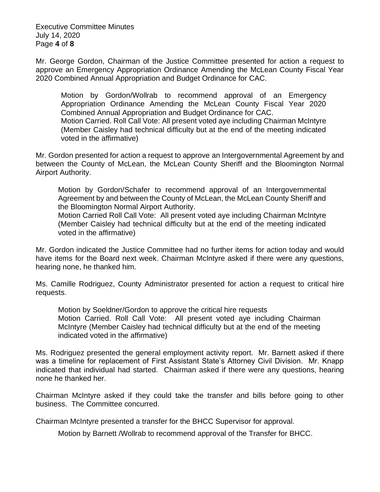Executive Committee Minutes July 14, 2020 Page **4** of **8**

Mr. George Gordon, Chairman of the Justice Committee presented for action a request to approve an Emergency Appropriation Ordinance Amending the McLean County Fiscal Year 2020 Combined Annual Appropriation and Budget Ordinance for CAC.

Motion by Gordon/Wollrab to recommend approval of an Emergency Appropriation Ordinance Amending the McLean County Fiscal Year 2020 Combined Annual Appropriation and Budget Ordinance for CAC. Motion Carried. Roll Call Vote: All present voted aye including Chairman McIntyre (Member Caisley had technical difficulty but at the end of the meeting indicated voted in the affirmative)

Mr. Gordon presented for action a request to approve an Intergovernmental Agreement by and between the County of McLean, the McLean County Sheriff and the Bloomington Normal Airport Authority.

Motion by Gordon/Schafer to recommend approval of an Intergovernmental Agreement by and between the County of McLean, the McLean County Sheriff and the Bloomington Normal Airport Authority.

Motion Carried Roll Call Vote: All present voted aye including Chairman McIntyre (Member Caisley had technical difficulty but at the end of the meeting indicated voted in the affirmative)

Mr. Gordon indicated the Justice Committee had no further items for action today and would have items for the Board next week. Chairman McIntyre asked if there were any questions, hearing none, he thanked him.

Ms. Camille Rodriguez, County Administrator presented for action a request to critical hire requests.

Motion by Soeldner/Gordon to approve the critical hire requests Motion Carried. Roll Call Vote: All present voted aye including Chairman McIntyre (Member Caisley had technical difficulty but at the end of the meeting indicated voted in the affirmative)

Ms. Rodriguez presented the general employment activity report. Mr. Barnett asked if there was a timeline for replacement of First Assistant State's Attorney Civil Division. Mr. Knapp indicated that individual had started. Chairman asked if there were any questions, hearing none he thanked her.

Chairman McIntyre asked if they could take the transfer and bills before going to other business. The Committee concurred.

Chairman McIntyre presented a transfer for the BHCC Supervisor for approval.

Motion by Barnett /Wollrab to recommend approval of the Transfer for BHCC.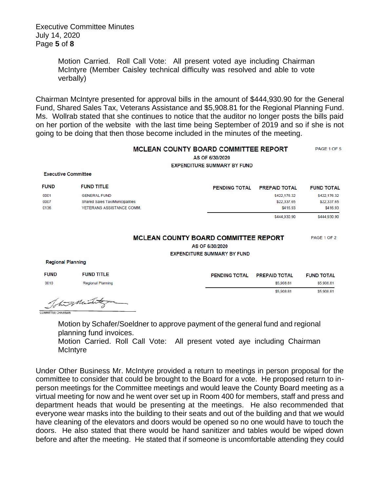Executive Committee Minutes July 14, 2020 Page **5** of **8**

> Motion Carried. Roll Call Vote: All present voted aye including Chairman McIntyre (Member Caisley technical difficulty was resolved and able to vote verbally)

Chairman McIntyre presented for approval bills in the amount of \$444,930.90 for the General Fund, Shared Sales Tax, Veterans Assistance and \$5,908.81 for the Regional Planning Fund. Ms. Wollrab stated that she continues to notice that the auditor no longer posts the bills paid on her portion of the website with the last time being September of 2019 and so if she is not going to be doing that then those become included in the minutes of the meeting.

|                            | <b>MCLEAN COUNTY BOARD COMMITTEE REPORT</b><br>AS OF 6/30/2020<br><b>EXPENDITURE SUMMARY BY FUND</b> |                                             |                      |                   |  |
|----------------------------|------------------------------------------------------------------------------------------------------|---------------------------------------------|----------------------|-------------------|--|
| <b>Executive Committee</b> |                                                                                                      |                                             |                      |                   |  |
| <b>FUND</b>                | <b>FUND TITLE</b>                                                                                    | <b>PENDING TOTAL</b>                        | <b>PREPAID TOTAL</b> | <b>FUND TOTAL</b> |  |
| 0001                       | <b>GENERAL FUND</b>                                                                                  |                                             | \$422,176.32         | \$422,176.32      |  |
| 0007                       | Shared Sales Tax/Municipalities                                                                      |                                             | \$22,337.65          | \$22,337.65       |  |
| 0136                       | <b>VETERANS ASSISTANCE COMM.</b>                                                                     |                                             | \$416.93             | \$416.93          |  |
|                            |                                                                                                      |                                             | \$444,930.90         | \$444,930.90      |  |
|                            |                                                                                                      | <b>MCLEAN COUNTY BOARD COMMITTEE REPORT</b> |                      | PAGE 1 OF 2       |  |
|                            |                                                                                                      | AS OF 6/30/2020                             |                      |                   |  |
|                            |                                                                                                      | <b>EXPENDITURE SUMMARY BY FUND</b>          |                      |                   |  |
| <b>Regional Planning</b>   |                                                                                                      |                                             |                      |                   |  |
| <b>FUND</b>                | <b>FUND TITLE</b>                                                                                    | <b>PENDING TOTAL</b>                        | <b>PREPAID TOTAL</b> | <b>FUND TOTAL</b> |  |

his Mint **COMMITTEE CHAIRMAN** 

Regional Planning

0010

Motion by Schafer/Soeldner to approve payment of the general fund and regional planning fund invoices.

\$5,908.81

\$5,908.81

\$5,908.81 \$5,908.81

Motion Carried. Roll Call Vote: All present voted aye including Chairman **McIntyre** 

Under Other Business Mr. McIntyre provided a return to meetings in person proposal for the committee to consider that could be brought to the Board for a vote. He proposed return to inperson meetings for the Committee meetings and would leave the County Board meeting as a virtual meeting for now and he went over set up in Room 400 for members, staff and press and department heads that would be presenting at the meetings. He also recommended that everyone wear masks into the building to their seats and out of the building and that we would have cleaning of the elevators and doors would be opened so no one would have to touch the doors. He also stated that there would be hand sanitizer and tables would be wiped down before and after the meeting. He stated that if someone is uncomfortable attending they could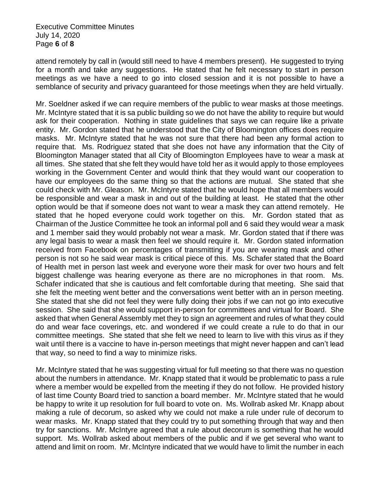Executive Committee Minutes July 14, 2020 Page **6** of **8**

attend remotely by call in (would still need to have 4 members present). He suggested to trying for a month and take any suggestions. He stated that he felt necessary to start in person meetings as we have a need to go into closed session and it is not possible to have a semblance of security and privacy guaranteed for those meetings when they are held virtually.

Mr. Soeldner asked if we can require members of the public to wear masks at those meetings. Mr. McIntyre stated that it is sa public building so we do not have the ability to require but would ask for their cooperation. Nothing in state guidelines that says we can require like a private entity. Mr. Gordon stated that he understood that the City of Bloomington offices does require masks. Mr. McIntyre stated that he was not sure that there had been any formal action to require that. Ms. Rodriguez stated that she does not have any information that the City of Bloomington Manager stated that all City of Bloomington Employees have to wear a mask at all times. She stated that she felt they would have told her as it would apply to those employees working in the Government Center and would think that they would want our cooperation to have our employees do the same thing so that the actions are mutual. She stated that she could check with Mr. Gleason. Mr. McIntyre stated that he would hope that all members would be responsible and wear a mask in and out of the building at least. He stated that the other option would be that if someone does not want to wear a mask they can attend remotely. He stated that he hoped everyone could work together on this. Mr. Gordon stated that as Chairman of the Justice Committee he took an informal poll and 6 said they would wear a mask and 1 member said they would probably not wear a mask. Mr. Gordon stated that if there was any legal basis to wear a mask then feel we should require it. Mr. Gordon stated information received from Facebook on percentages of transmitting if you are wearing mask and other person is not so he said wear mask is critical piece of this. Ms. Schafer stated that the Board of Health met in person last week and everyone wore their mask for over two hours and felt biggest challenge was hearing everyone as there are no microphones in that room. Ms. Schafer indicated that she is cautious and felt comfortable during that meeting. She said that she felt the meeting went better and the conversations went better with an in person meeting. She stated that she did not feel they were fully doing their jobs if we can not go into executive session. She said that she would support in-person for committees and virtual for Board. She asked that when General Assembly met they to sign an agreement and rules of what they could do and wear face coverings, etc. and wondered if we could create a rule to do that in our committee meetings. She stated that she felt we need to learn to live with this virus as if they wait until there is a vaccine to have in-person meetings that might never happen and can't lead that way, so need to find a way to minimize risks.

Mr. McIntyre stated that he was suggesting virtual for full meeting so that there was no question about the numbers in attendance. Mr. Knapp stated that it would be problematic to pass a rule where a member would be expelled from the meeting if they do not follow. He provided history of last time County Board tried to sanction a board member. Mr. McIntyre stated that he would be happy to write it up resolution for full board to vote on. Ms. Wollrab asked Mr. Knapp about making a rule of decorum, so asked why we could not make a rule under rule of decorum to wear masks. Mr. Knapp stated that they could try to put something through that way and then try for sanctions. Mr. McIntyre agreed that a rule about decorum is something that he would support. Ms. Wollrab asked about members of the public and if we get several who want to attend and limit on room. Mr. McIntyre indicated that we would have to limit the number in each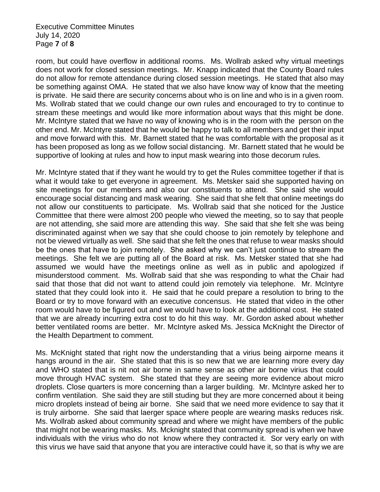Executive Committee Minutes July 14, 2020 Page **7** of **8**

room, but could have overflow in additional rooms. Ms. Wollrab asked why virtual meetings does not work for closed session meetings. Mr. Knapp indicated that the County Board rules do not allow for remote attendance during closed session meetings. He stated that also may be something against OMA. He stated that we also have know way of know that the meeting is private. He said there are security concerns about who is on line and who is in a given room. Ms. Wollrab stated that we could change our own rules and encouraged to try to continue to stream these meetings and would like more information about ways that this might be done. Mr. McIntyre stated that we have no way of knowing who is in the room with the person on the other end. Mr. McIntyre stated that he would be happy to talk to all members and get their input and move forward with this. Mr. Barnett stated that he was comfortable with the proposal as it has been proposed as long as we follow social distancing. Mr. Barnett stated that he would be supportive of looking at rules and how to input mask wearing into those decorum rules.

Mr. McIntyre stated that if they want he would try to get the Rules committee together if that is what it would take to get everyone in agreement. Ms. Metsker said she supported having on site meetings for our members and also our constituents to attend. She said she would encourage social distancing and mask wearing. She said that she felt that online meetings do not allow our constituents to participate. Ms. Wollrab said that she noticed for the Justice Committee that there were almost 200 people who viewed the meeting, so to say that people are not attending, she said more are attending this way. She said that she felt she was being discriminated against when we say that she could choose to join remotely by telephone and not be viewed virtually as well. She said that she felt the ones that refuse to wear masks should be the ones that have to join remotely. She asked why we can't just continue to stream the meetings. She felt we are putting all of the Board at risk. Ms. Metsker stated that she had assumed we would have the meetings online as well as in public and apologized if misunderstood comment. Ms. Wollrab said that she was responding to what the Chair had said that those that did not want to attend could join remotely via telephone. Mr. McIntyre stated that they could look into it. He said that he could prepare a resolution to bring to the Board or try to move forward with an executive concensus. He stated that video in the other room would have to be figured out and we would have to look at the additional cost. He stated that we are already incurring extra cost to do hit this way. Mr. Gordon asked about whether better ventilated rooms are better. Mr. McIntyre asked Ms. Jessica McKnight the Director of the Health Department to comment.

Ms. McKnight stated that right now the understanding that a virius being airporne means it hangs around in the air. She stated that this is so new that we are learning more every day and WHO stated that is nit not air borne in same sense as other air borne virius that could move through HVAC system. She stated that they are seeing more evidence about micro droplets. Close quarters is more concerning than a larger building. Mr. McIntyre asked her to confirm ventilation. She said they are still studing but they are more concerned about it being micro droplets instead of being air borne. She said that we need more evidence to say that it is truly airborne. She said that laerger space where people are wearing masks reduces risk. Ms. Wollrab asked about community spread and where we might have members of the public that might not be wearing masks. Ms. Mcknight stated that community spread is when we have individuals with the virius who do not know where they contracted it. Sor very early on with this virus we have said that anyone that you are interactive could have it, so that is why we are